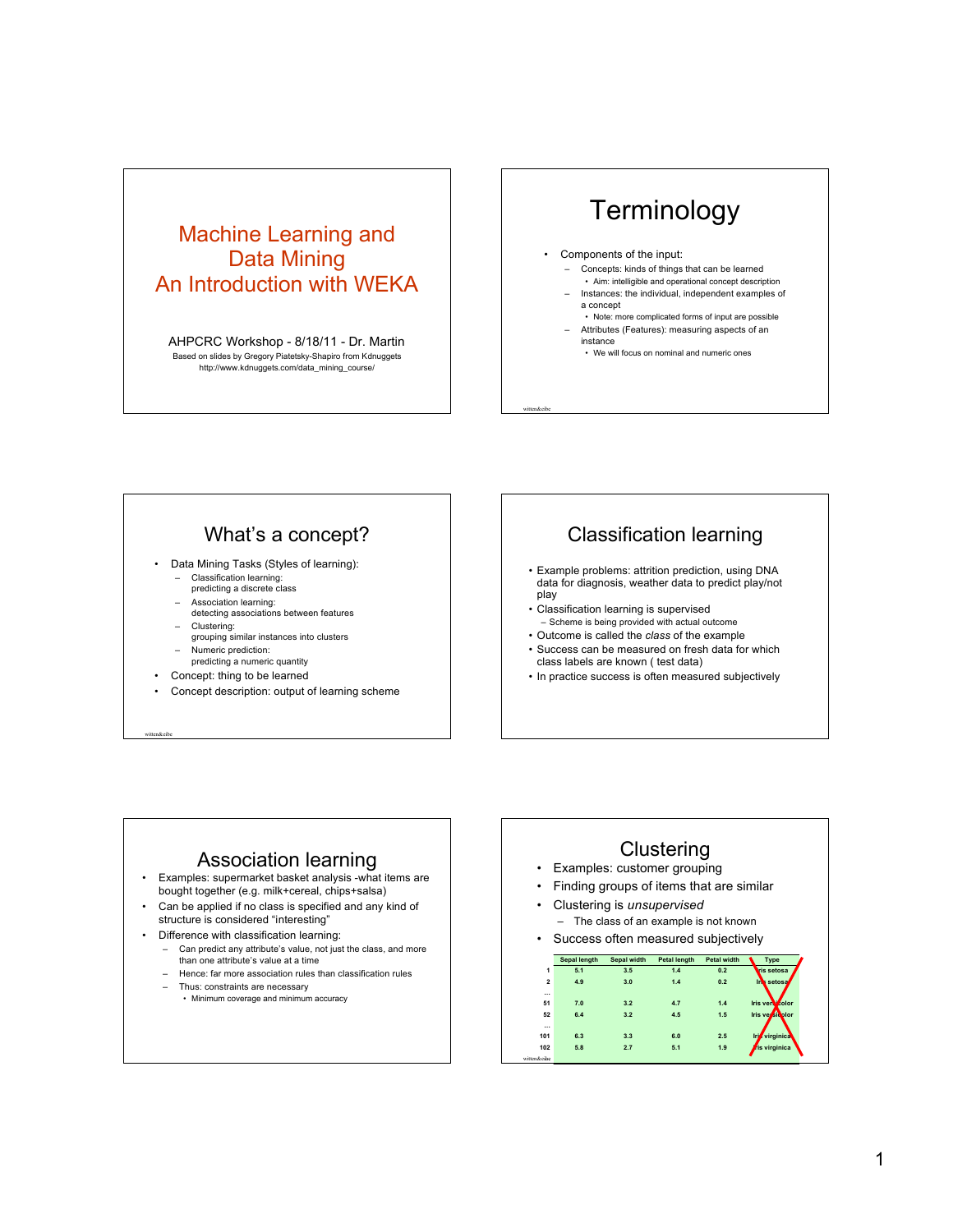### Machine Learning and Data Mining An Introduction with WEKA

AHPCRC Workshop - 8/18/11 - Dr. Martin Based on slides by Gregory Piatetsky-Shapiro from Kdnuggets http://www.kdnuggets.com/data\_mining\_course/

# **Terminology**

#### Components of the input:

witten&eibe

- Concepts: kinds of things that can be learned • Aim: intelligible and operational concept description
- Instances: the individual, independent examples of a concept
- Note: more complicated forms of input are possible – Attributes (Features): measuring aspects of an instance
	- We will focus on nominal and numeric ones

#### What's a concept?

- Data Mining Tasks (Styles of learning):
	- Classification learning:
	- predicting a discrete class
	- Association learning: detecting associations between features
	-
	- Clustering: grouping similar instances into clusters
	- Numeric prediction: predicting a numeric quantity
- Concept: thing to be learned

witten&eibe

• Concept description: output of learning scheme

### Classification learning

- Example problems: attrition prediction, using DNA data for diagnosis, weather data to predict play/not play
- Classification learning is supervised – Scheme is being provided with actual outcome
- Outcome is called the *class* of the example
- Success can be measured on fresh data for which class labels are known ( test data)
- In practice success is often measured subjectively

### Association learning

- Examples: supermarket basket analysis -what items are bought together (e.g. milk+cereal, chips+salsa)
- Can be applied if no class is specified and any kind of structure is considered "interesting"
- Difference with classification learning:
	- Can predict any attribute's value, not just the class, and more than one attribute's value at a time
	- Hence: far more association rules than classification rules
	- Thus: constraints are necessary
		- Minimum coverage and minimum accuracy

#### **Clustering**

- Examples: customer grouping
- Finding groups of items that are similar
- Clustering is *unsupervised* – The class of an example is not known
- Success often measured subjectively

|                | Sepal length | Sepal width | Petal length | Petal width | Type              |
|----------------|--------------|-------------|--------------|-------------|-------------------|
| 1              | 5.1          | 3.5         | 1.4          | 0.2         | <b>ris setosa</b> |
| $\overline{2}$ | 4.9          | 3.0         | 1.4          | 0.2         | m.<br>setosal     |
| $\cdots$       |              |             |              |             |                   |
| 51             | 7.0          | 3.2         | 4.7          | 1.4         | Iris verscolor    |
| 52             | 6.4          | 3.2         | 4.5          | 1.5         | Iris versionlor   |
| $\cdots$       |              |             |              |             |                   |
| 101            | 6.3          | 3.3         | 6.0          | 2.5         | virginica<br>Iri  |
| 102            | 5.8          | 2.7         | 5.1          | 1.9         | ris virginica     |
| witten&eibe    |              |             |              |             |                   |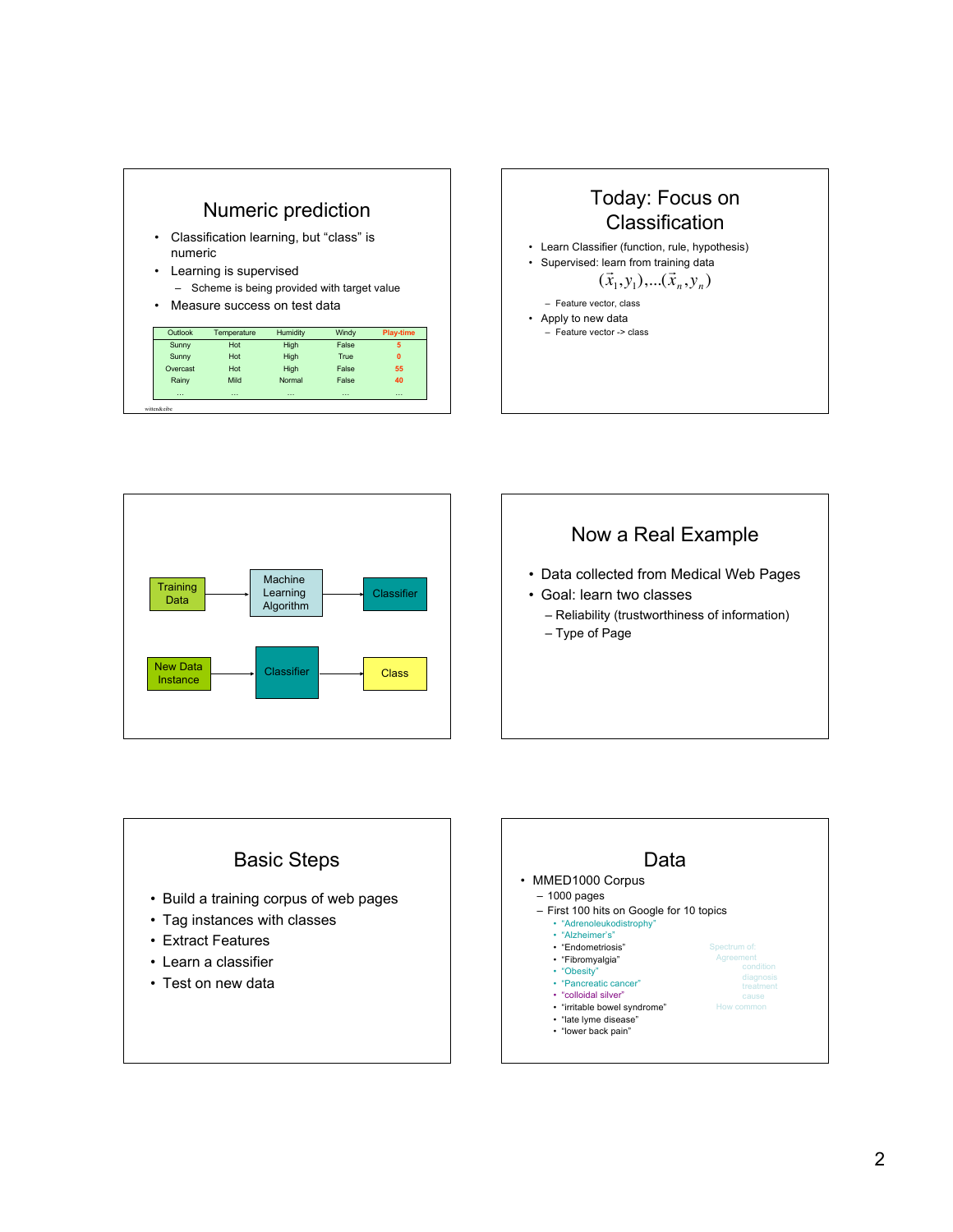







- Data collected from Medical Web Pages
- Goal: learn two classes
	- Reliability (trustworthiness of information)

How common

– Type of Page

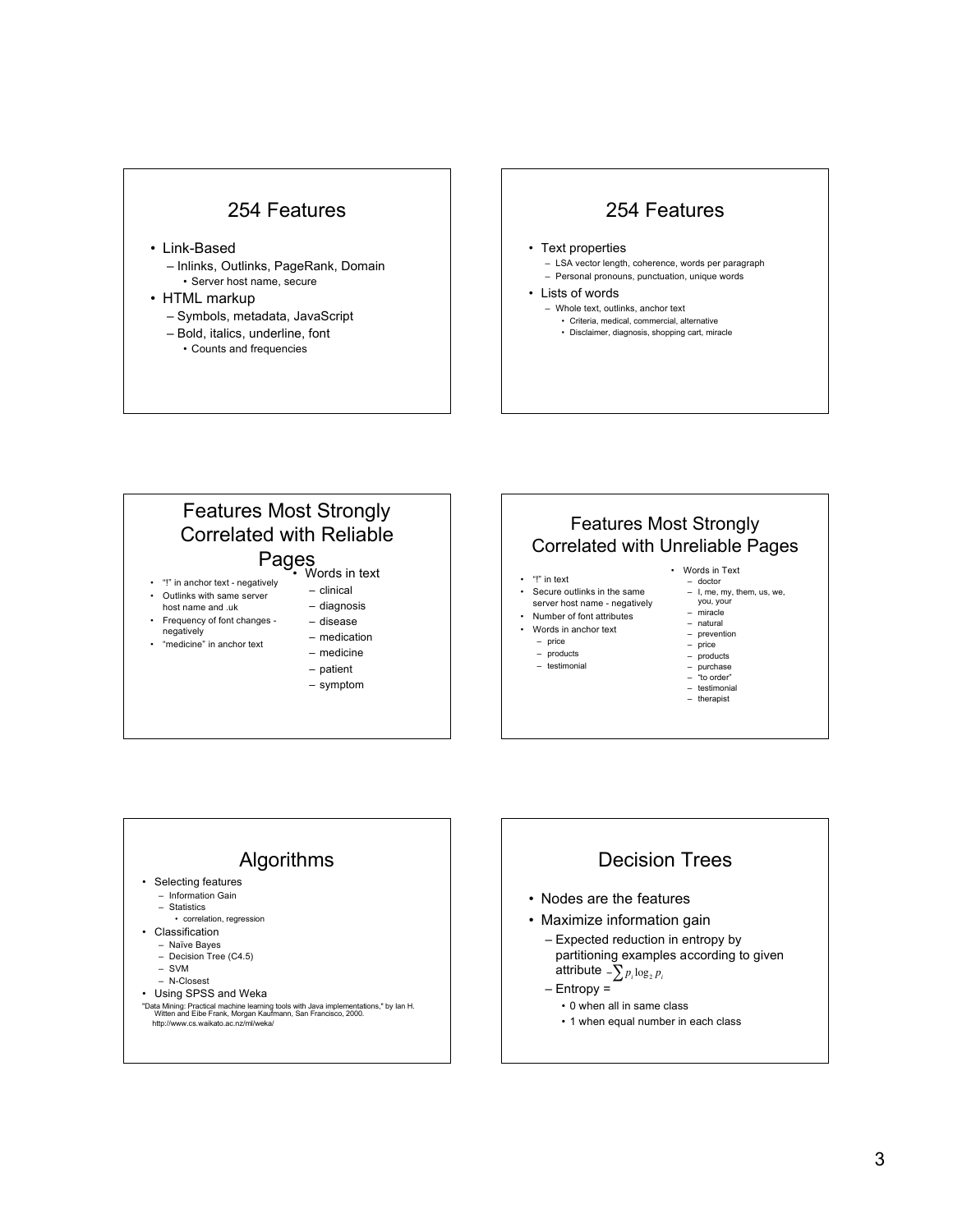#### 254 Features

- Link-Based
	- Inlinks, Outlinks, PageRank, Domain • Server host name, secure
- 
- HTML markup
	- Symbols, metadata, JavaScript
	- Bold, italics, underline, font • Counts and frequencies

#### 254 Features

- Text properties
	- LSA vector length, coherence, words per paragraph
	- Personal pronouns, punctuation, unique words
- Lists of words
	- Whole text, outlinks, anchor text
		- Criteria, medical, commercial, alternative • Disclaimer, diagnosis, shopping cart, miracle





- purchase "to order"
- 
- testimonial therapist



# Decision Trees

- Nodes are the features
- Maximize information gain
	- Expected reduction in entropy by partitioning examples according to given attribute  $\sum p_i \log_2 p_i$
	- Entropy =
		- 0 when all in same class
		- 1 when equal number in each class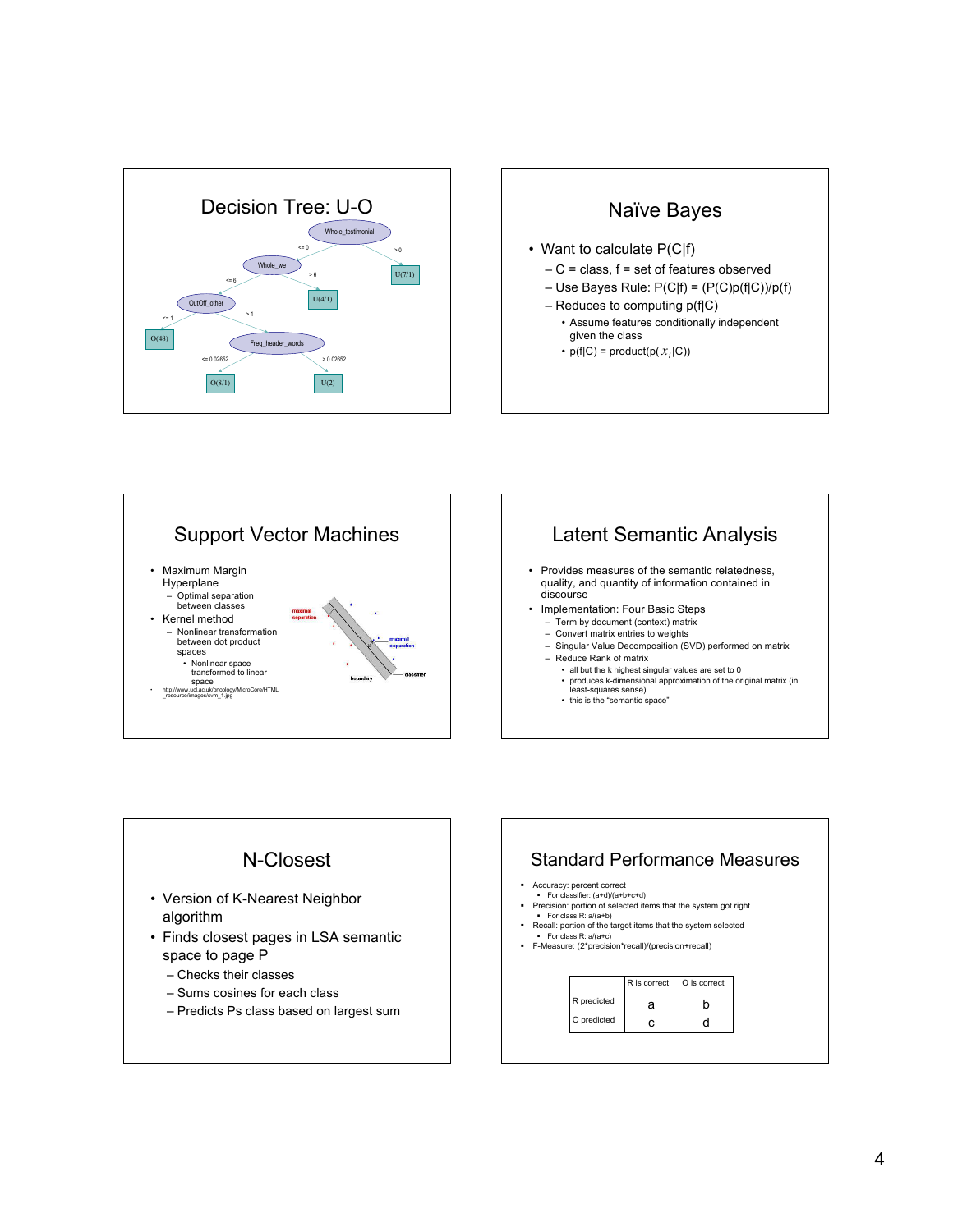







4